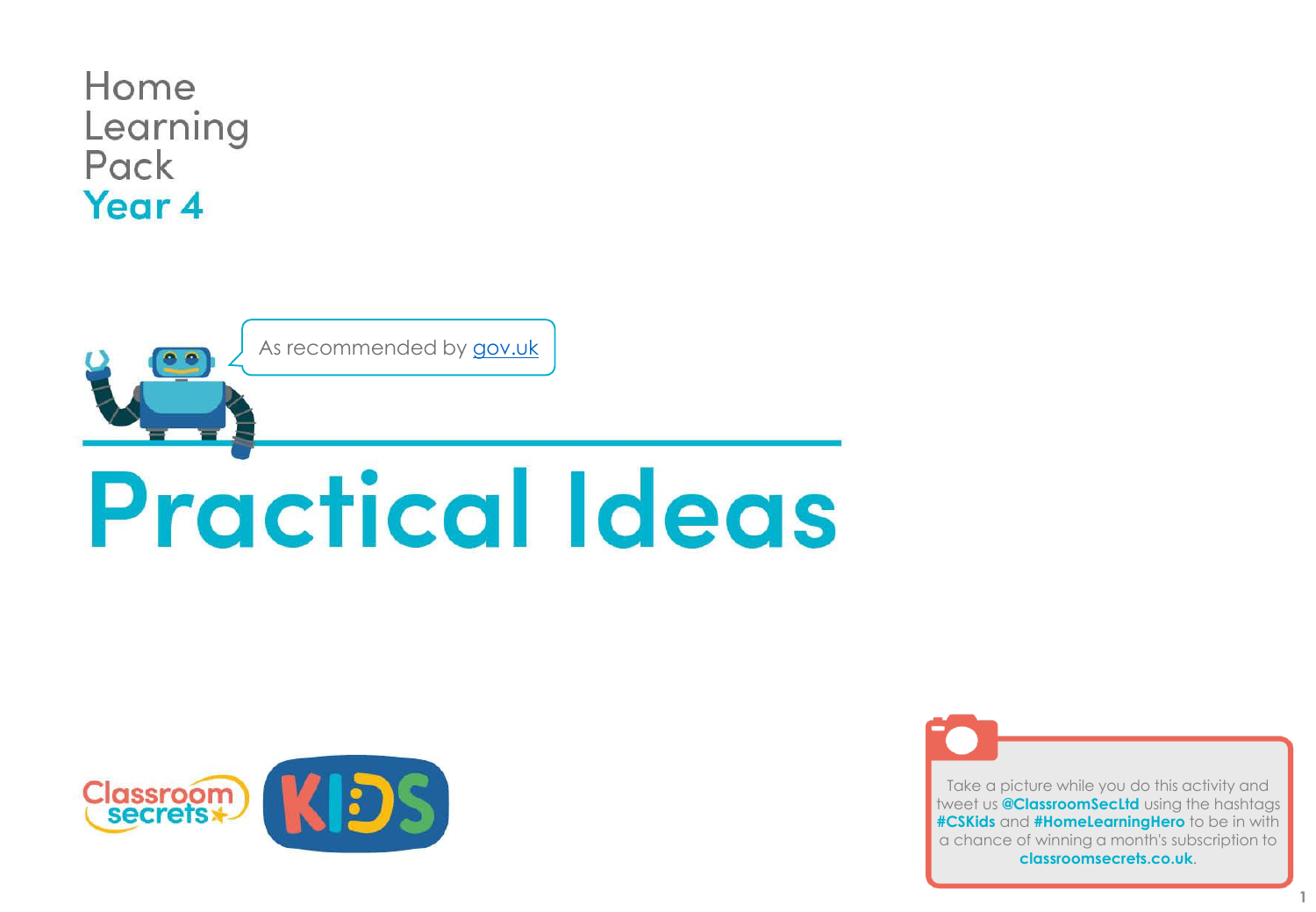





Take a picture while you do this activity and tweet us **@ClassroomSecLtd** using the hashtags **#CSKids** and **#HomeLearningHero** to be in with a chance of winning a month's subscription to **classroomsecrets.co.uk**.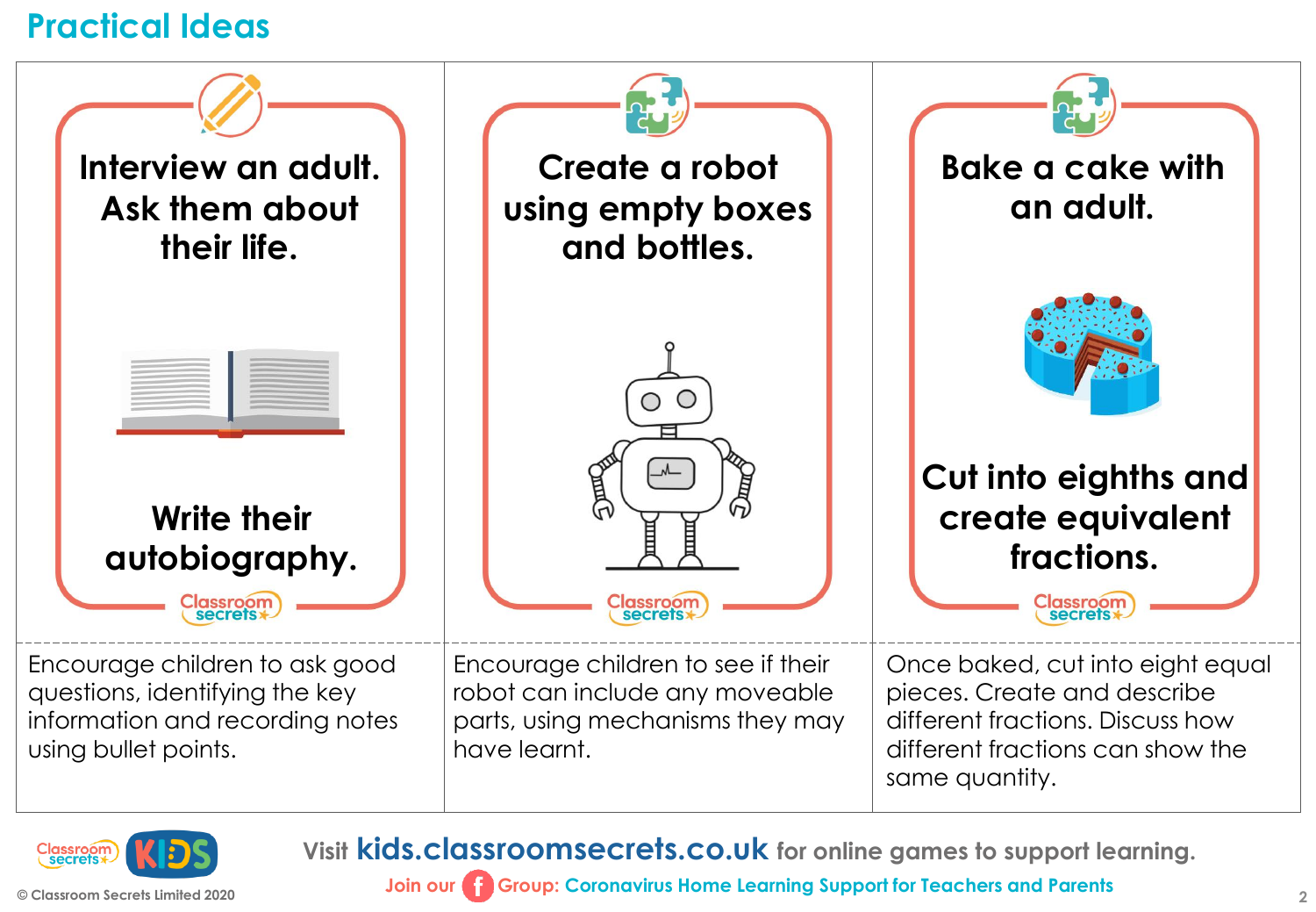



**Visit kids.classroomsecrets.co.uk for online games to support learning.**

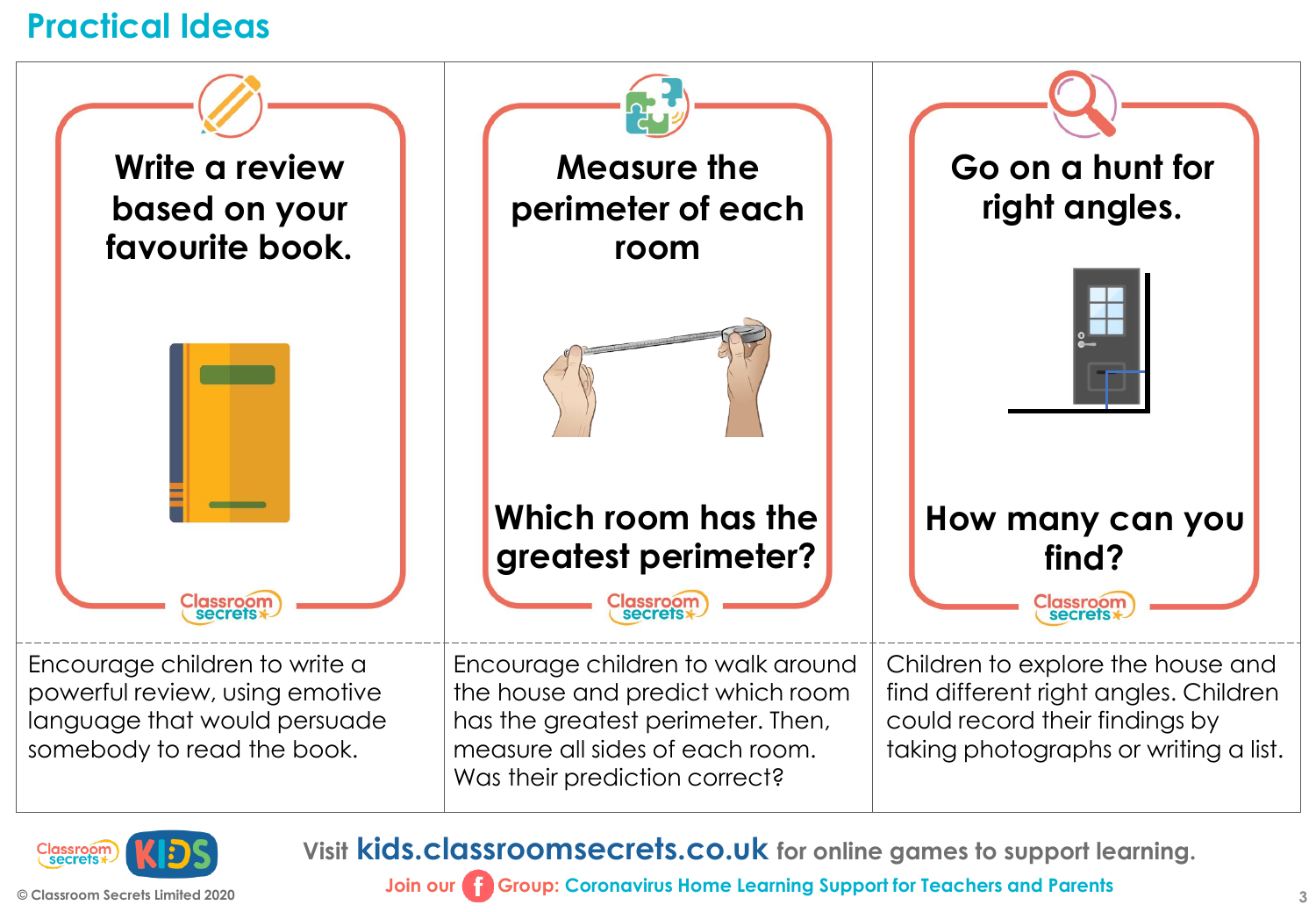



**Visit kids.classroomsecrets.co.uk for online games to support learning.**

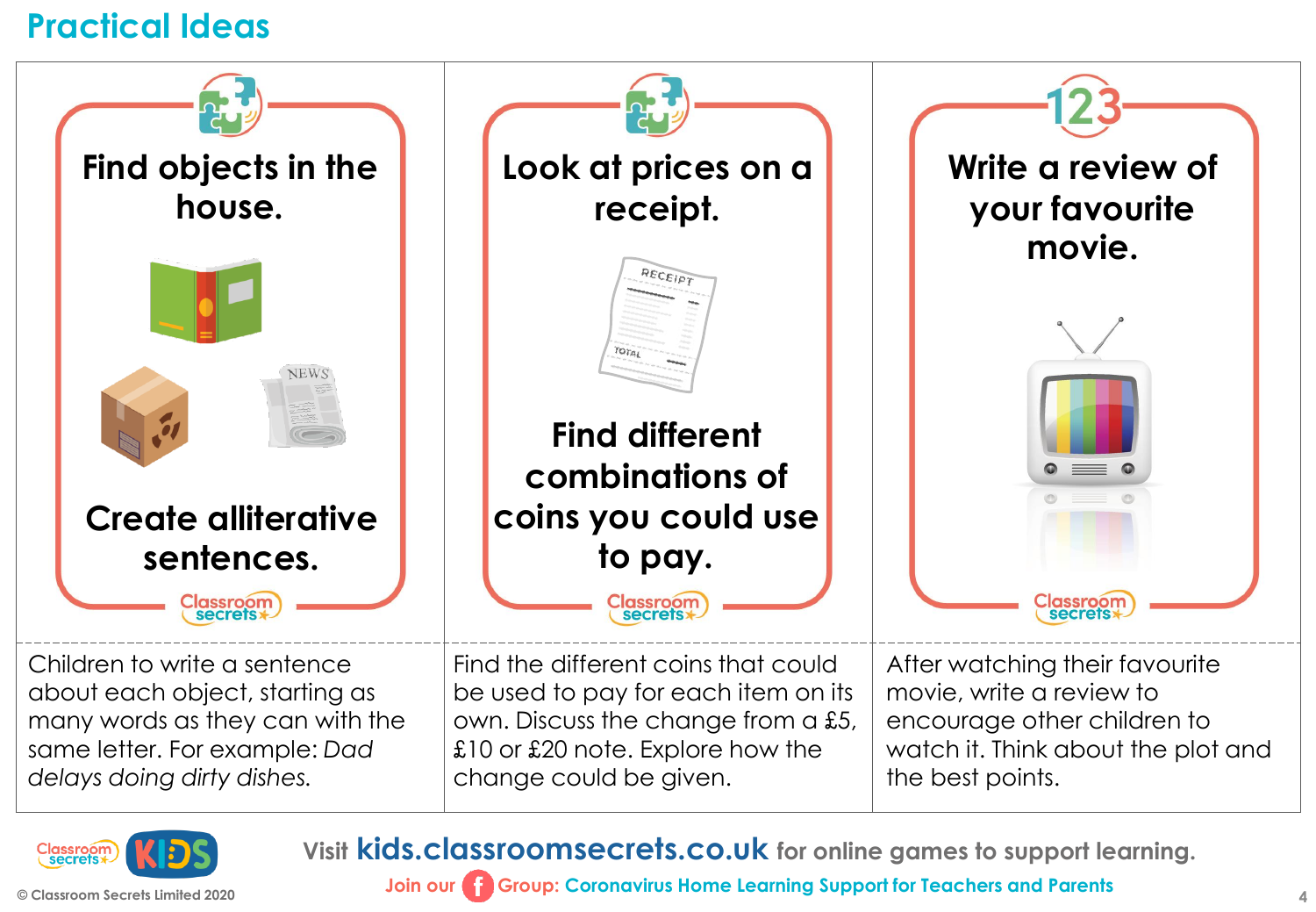



**Visit kids.classroomsecrets.co.uk for online games to support learning.**